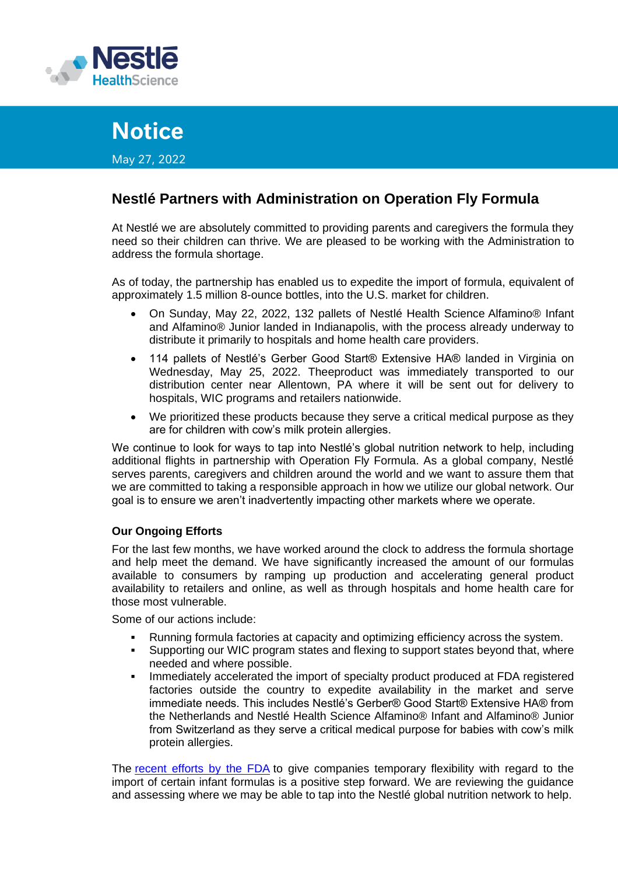

# **Notice**

May 27, 2022

# **Nestlé Partners with Administration on Operation Fly Formula**

At Nestlé we are absolutely committed to providing parents and caregivers the formula they need so their children can thrive. We are pleased to be working with the Administration to address the formula shortage.

As of today, the partnership has enabled us to expedite the import of formula, equivalent of approximately 1.5 million 8-ounce bottles, into the U.S. market for children.

- On Sunday, May 22, 2022, 132 pallets of Nestlé Health Science Alfamino® Infant and Alfamino® Junior landed in Indianapolis, with the process already underway to distribute it primarily to hospitals and home health care providers.
- 114 pallets of Nestlé's Gerber Good Start® Extensive HA® landed in Virginia on Wednesday, May 25, 2022. Theeproduct was immediately transported to our distribution center near Allentown, PA where it will be sent out for delivery to hospitals, WIC programs and retailers nationwide.
- We prioritized these products because they serve a critical medical purpose as they are for children with cow's milk protein allergies.

We continue to look for ways to tap into Nestlé's global nutrition network to help, including additional flights in partnership with Operation Fly Formula. As a global company, Nestlé serves parents, caregivers and children around the world and we want to assure them that we are committed to taking a responsible approach in how we utilize our global network. Our goal is to ensure we aren't inadvertently impacting other markets where we operate.

## **Our Ongoing Efforts**

For the last few months, we have worked around the clock to address the formula shortage and help meet the demand. We have significantly increased the amount of our formulas available to consumers by ramping up production and accelerating general product availability to retailers and online, as well as through hospitals and home health care for those most vulnerable.

Some of our actions include:

- Running formula factories at capacity and optimizing efficiency across the system.
- Supporting our WIC program states and flexing to support states beyond that, where needed and where possible.
- Immediately accelerated the import of specialty product produced at FDA registered factories outside the country to expedite availability in the market and serve immediate needs. This includes Nestlé's Gerber® Good Start® Extensive HA® from the Netherlands and Nestlé Health Science Alfamino® Infant and Alfamino® Junior from Switzerland as they serve a critical medical purpose for babies with cow's milk protein allergies.

The recent [efforts](https://www.fda.gov/regulatory-information/search-fda-guidance-documents/guidance-industry-infant-formula-enforcement-discretion-policy) by the FDA to give companies temporary flexibility with regard to the import of certain infant formulas is a positive step forward. We are reviewing the guidance and assessing where we may be able to tap into the Nestlé global nutrition network to help.